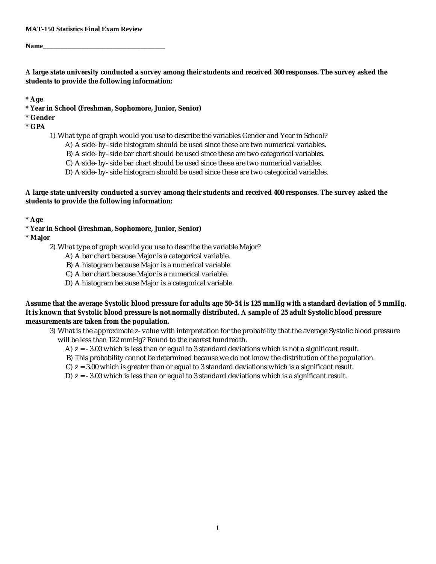#### **MAT-150 Statistics Final Exam Review**

**Name\_\_\_\_\_\_\_\_\_\_\_\_\_\_\_\_\_\_\_\_\_\_\_\_\_\_\_\_\_\_\_\_\_\_\_**

**A large state university conducted a survey among their students and received 300 responses. The survey asked the students to provide the following information:**

**\* Age**

**\* Year in School (Freshman, Sophomore, Junior, Senior)**

**\* Gender**

- **\* GPA**
	- 1) What type of graph would you use to describe the variables Gender and Year in School?
		- A) A side-by-side histogram should be used since these are two numerical variables.
		- B) A side-by-side bar chart should be used since these are two categorical variables.
		- C) A side-by-side bar chart should be used since these are two numerical variables.
		- D) A side-by-side histogram should be used since these are two categorical variables.

**A large state university conducted a survey among their students and received 400 responses. The survey asked the students to provide the following information:**

**\* Age**

**\* Year in School (Freshman, Sophomore, Junior, Senior)**

**\* Major**

- 2) What type of graph would you use to describe the variable Major?
	- A) A bar chart because Major is a categorical variable.
	- B) A histogram because Major is a numerical variable.
	- C) A bar chart because Major is a numerical variable.
	- D) A histogram because Major is a categorical variable.

**Assume that the average Systolic blood pressure for adults age 50-54 is 125 mmHg with a standard deviation of 5 mmHg. It is known that Systolic blood pressure is not normally distributed. A sample of 25 adult Systolic blood pressure measurements are taken from the population.**

3) What is the approximate z-value with interpretation for the probability that the average Systolic blood pressure will be less than 122 mmHg? Round to the nearest hundredth.

- A) z = -3.00 which is less than or equal to 3 standard deviations which is not a significant result.
- B) This probability cannot be determined because we do not know the distribution of the population.
- C) z = 3.00 which is greater than or equal to 3 standard deviations which is a significant result.

D)  $z = -3.00$  which is less than or equal to 3 standard deviations which is a significant result.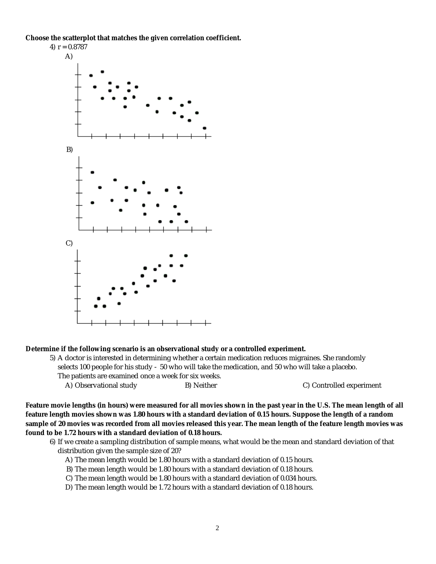**Choose the scatterplot that matches the given correlation coefficient.**



**Determine if the following scenario is an observational study or a controlled experiment.**

5) A doctor is interested in determining whether a certain medication reduces migraines. She randomly selects 100 people for his study - 50 who will take the medication, and 50 who will take a placebo. The patients are examined once a week for six weeks.

A) Observational study B) Neither B B Research C) Controlled experiment

**Feature movie lengths (in hours) were measured for all movies shown in the past year in the U.S. The mean length of all feature length movies shown was 1.80 hours with a standard deviation of 0.15 hours. Suppose the length of a random sample of 20 movies was recorded from all movies released this year. The mean length of the feature length movies was found to be 1.72 hours with a standard deviation of 0.18 hours.**

6) If we create a sampling distribution of sample means, what would be the mean and standard deviation of that distribution given the sample size of 20?

A) The mean length would be 1.80 hours with a standard deviation of 0.15 hours.

- B) The mean length would be 1.80 hours with a standard deviation of 0.18 hours.
- C) The mean length would be 1.80 hours with a standard deviation of 0.034 hours.
- D) The mean length would be 1.72 hours with a standard deviation of 0.18 hours.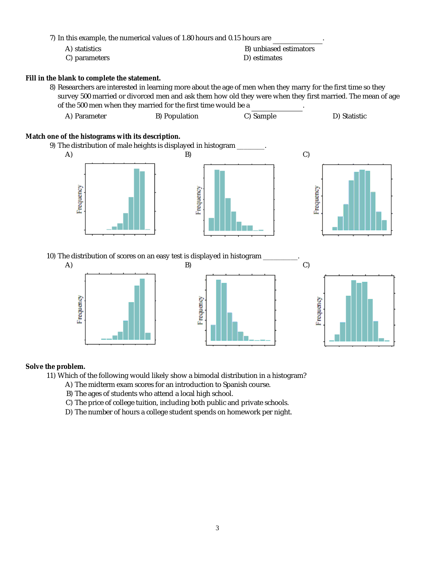7) In this example, the numerical values of 1.80 hours and 0.15 hours are

| A) statistics | B) unbiased estimators |
|---------------|------------------------|
| C) parameters | D) estimates           |

**Fill in the blank to complete the statement.**

8) Researchers are interested in learning more about the age of men when they marry for the first time so they survey 500 married or divorced men and ask them how old they were when they first married. The mean of age of the 500 men when they married for the first time would be a

| A) Parameter | B) Population | C) Sample | D) Statistic |
|--------------|---------------|-----------|--------------|
|              |               |           |              |

**Match one of the histograms with its description.**



10) The distribution of scores on an easy test is displayed in histogram \_



**Solve the problem.**

11) Which of the following would likely show a bimodal distribution in a histogram?

- A) The midterm exam scores for an introduction to Spanish course.
- B) The ages of students who attend a local high school.
- C) The price of college tuition, including both public and private schools.
- D) The number of hours a college student spends on homework per night.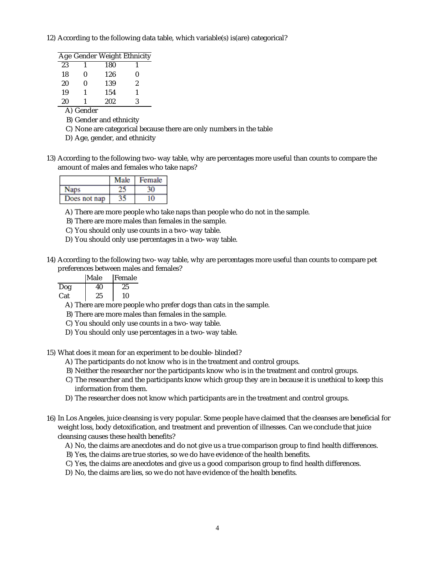12) According to the following data table, which variable(s) is(are) categorical?

|    |   |     | Age Gender Weight Ethnicity |
|----|---|-----|-----------------------------|
| 23 |   | 180 |                             |
| 18 | N | 126 | N                           |
| 20 | N | 139 | 2                           |
| 19 | 1 | 154 | 1                           |
| 20 |   | 202 | ર                           |

### A) Gender

- B) Gender and ethnicity
- C) None are categorical because there are only numbers in the table
- D) Age, gender, and ethnicity
- 13) According to the following two-way table, why are percentages more useful than counts to compare the amount of males and females who take naps?

|              | Male | Female |
|--------------|------|--------|
| laps         |      |        |
| Does not nap |      |        |

A) There are more people who take naps than people who do not in the sample.

- B) There are more males than females in the sample.
- C) You should only use counts in a two-way table.
- D) You should only use percentages in a two-way table.
- 14) According to the following two-way table, why are percentages more useful than counts to compare pet preferences between males and females?

|     | <i><b>IMale</b></i> | Female |
|-----|---------------------|--------|
| Dog | 40                  | 25     |
| Cat | 25                  | 10     |

A) There are more people who prefer dogs than cats in the sample.

B) There are more males than females in the sample.

- C) You should only use counts in a two-way table.
- D) You should only use percentages in a two-way table.

15) What does it mean for an experiment to be double-blinded?

- A) The participants do not know who is in the treatment and control groups.
- B) Neither the researcher nor the participants know who is in the treatment and control groups.
- C) The researcher and the participants know which group they are in because it is unethical to keep this information from them.
- D) The researcher does not know which participants are in the treatment and control groups.
- 16) In Los Angeles, juice cleansing is very popular. Some people have claimed that the cleanses are beneficial for weight loss, body detoxification, and treatment and prevention of illnesses. Can we conclude that juice cleansing causes these health benefits?
	- A) No, the claims are anecdotes and do not give us a true comparison group to find health differences.
	- B) Yes, the claims are true stories, so we do have evidence of the health benefits.
	- C) Yes, the claims are anecdotes and give us a good comparison group to find health differences.
	- D) No, the claims are lies, so we do not have evidence of the health benefits.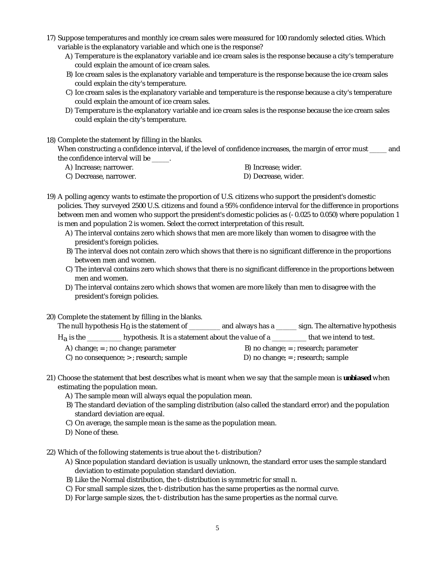- 17) Suppose temperatures and monthly ice cream sales were measured for 100 randomly selected cities. Which variable is the explanatory variable and which one is the response?
	- A) Temperature is the explanatory variable and ice cream sales is the response because a city's temperature could explain the amount of ice cream sales.
	- B) Ice cream sales is the explanatory variable and temperature is the response because the ice cream sales could explain the city's temperature.
	- C) Ice cream sales is the explanatory variable and temperature is the response because a city's temperature could explain the amount of ice cream sales.
	- D) Temperature is the explanatory variable and ice cream sales is the response because the ice cream sales could explain the city's temperature.
- 18) Complete the statement by filling in the blanks.

When constructing a confidence interval, if the level of confidence increases, the margin of error must \_\_\_\_\_ and the confidence interval will be \_\_\_\_\_.

- A) Increase; narrower. The same state of the B) Increase; wider.
- C) Decrease, narrower. D) Decrease, wider.
- -

19) A polling agency wants to estimate the proportion of U.S. citizens who support the president's domestic policies. They surveyed 2500 U.S. citizens and found a 95% confidence interval for the difference in proportions between men and women who support the president's domestic policies as (-0.025 to 0.050) where population 1 is men and population 2 is women. Select the correct interpretation of this result.

- A) The interval contains zero which shows that men are more likely than women to disagree with the president's foreign policies.
- B) The interval does not contain zero which shows that there is no significant difference in the proportions between men and women.
- C) The interval contains zero which shows that there is no significant difference in the proportions between men and women.
- D) The interval contains zero which shows that women are more likely than men to disagree with the president's foreign policies.
- 20) Complete the statement by filling in the blanks.

The null hypothesis  $H_0$  is the statement of  $\frac{1}{1}$  and always has a  $\frac{1}{1}$  sign. The alternative hypothesis

 $H_a$  is the \_\_\_\_\_\_\_\_\_ hypothesis. It is a statement about the value of a \_\_\_\_\_\_\_\_\_\_ that we intend to test.

- A) change;  $=$  ; no change; parameter B) no change;  $=$  ; research; parameter
	-
- C) no consequence;  $>$ ; research; sample  $\qquad$  D) no change;  $=$ ; research; sample
- 21) Choose the statement that best describes what is meant when we say that the sample mean is *unbiased* when estimating the population mean.
	- A) The sample mean will always equal the population mean.
	- B) The standard deviation of the sampling distribution (also called the standard error) and the population standard deviation are equal.
	- C) On average, the sample mean is the same as the population mean.
	- D) None of these.

22) Which of the following statements is true about the t-distribution?

- A) Since population standard deviation is usually unknown, the standard error uses the sample standard deviation to estimate population standard deviation.
- B) Like the Normal distribution, the t-distribution is symmetric for small n.
- C) For small sample sizes, the t-distribution has the same properties as the normal curve.
- D) For large sample sizes, the t-distribution has the same properties as the normal curve.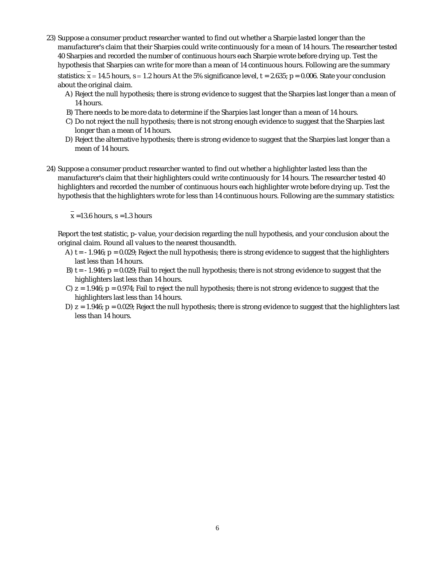- 23) Suppose a consumer product researcher wanted to find out whether a Sharpie lasted longer than the manufacturer's claim that their Sharpies could write continuously for a mean of 14 hours. The researcher tested 40 Sharpies and recorded the number of continuous hours each Sharpie wrote before drying up. Test the hypothesis that Sharpies can write for more than a mean of 14 continuous hours. Following are the summary statistics:  $x = 14.5$  hours,  $s = 1.2$  hours At the 5% significance level,  $t = 2.635$ ;  $p = 0.006$ . State your conclusion about the original claim.
	- A) Reject the null hypothesis; there is strong evidence to suggest that the Sharpies last longer than a mean of 14 hours.
	- B) There needs to be more data to determine if the Sharpies last longer than a mean of 14 hours.
	- C) Do not reject the null hypothesis; there is not strong enough evidence to suggest that the Sharpies last longer than a mean of 14 hours.
	- D) Reject the alternative hypothesis; there is strong evidence to suggest that the Sharpies last longer than a mean of 14 hours.
- 24) Suppose a consumer product researcher wanted to find out whether a highlighter lasted less than the manufacturer's claim that their highlighters could write continuously for 14 hours. The researcher tested 40 highlighters and recorded the number of continuous hours each highlighter wrote before drying up. Test the hypothesis that the highlighters wrote for less than 14 continuous hours. Following are the summary statistics:

 $\overline{x}$  =13.6 hours, s =1.3 hours

Report the test statistic, p-value, your decision regarding the null hypothesis, and your conclusion about the original claim. Round all values to the nearest thousandth.

- A) t = -1.946; p = 0.029; Reject the null hypothesis; there is strong evidence to suggest that the highlighters last less than 14 hours.
- B) t = -1.946; p = 0.029; Fail to reject the null hypothesis; there is not strong evidence to suggest that the highlighters last less than 14 hours.
- C) z = 1.946; p = 0.974; Fail to reject the null hypothesis; there is not strong evidence to suggest that the highlighters last less than 14 hours.
- D) z = 1.946; p = 0.029; Reject the null hypothesis; there is strong evidence to suggest that the highlighters last less than 14 hours.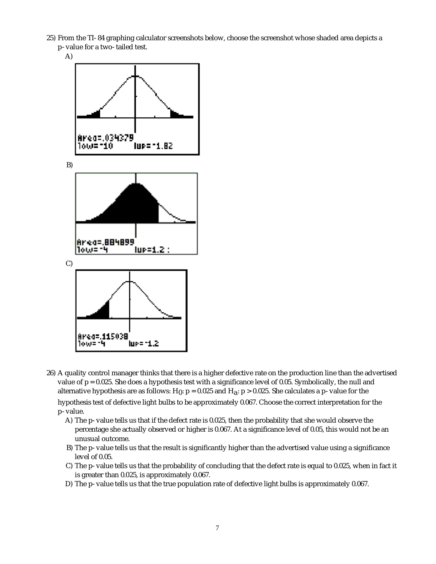- 25) From the TI-84 graphing calculator screenshots below, choose the screenshot whose shaded area depicts a p-value for a two-tailed test.
	- A)



26) A quality control manager thinks that there is a higher defective rate on the production line than the advertised value of  $p = 0.025$ . She does a hypothesis test with a significance level of 0.05. Symbolically, the null and alternative hypothesis are as follows:  $H_0$ :  $p = 0.025$  and  $H_a$ :  $p > 0.025$ . She calculates a p-value for the

hypothesis test of defective light bulbs to be approximately 0.067. Choose the correct interpretation for the p-value.

- A) The p-value tells us that if the defect rate is 0.025, then the probability that she would observe the percentage she actually observed or higher is 0.067. At a significance level of 0.05, this would not be an unusual outcome.
- B) The p-value tells us that the result is significantly higher than the advertised value using a significance level of 0.05.
- C) The p-value tells us that the probability of concluding that the defect rate is equal to 0.025, when in fact it is greater than 0.025, is approximately 0.067.
- D) The p-value tells us that the true population rate of defective light bulbs is approximately 0.067.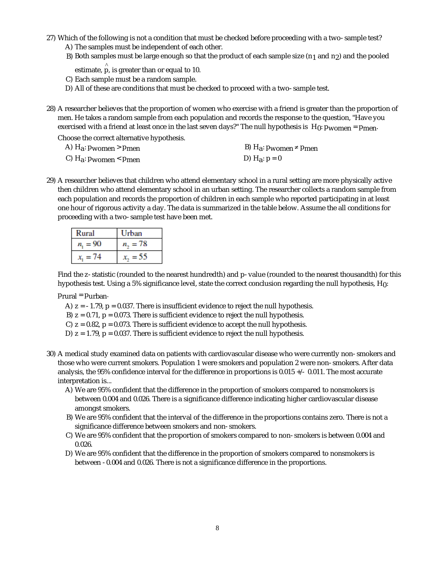- 27) Which of the following is not a condition that must be checked before proceeding with a two-sample test?
	- A) The samples must be independent of each other.
	- B) Both samples must be large enough so that the product of each sample size (n<sub>1</sub> and n<sub>2</sub>) and the pooled
	- estimate,  $\stackrel{\wedge}{\mathsf{p}}$ , is greater than or equal to 10.
	- C) Each sample must be a random sample.
	- D) All of these are conditions that must be checked to proceed with a two-sample test.
- 28) A researcher believes that the proportion of women who exercise with a friend is greater than the proportion of men. He takes a random sample from each population and records the response to the question, "Have you exercised with a friend at least once in the last seven days?" The null hypothesis is  $H_0: p_{WOMen} = p_{\text{men}}$ .

Choose the correct alternative hypothesis.

- 
- C)  $H_a: p_{\text{women}} < p_{\text{men}}$  (D)  $H_a: p = 0$

A)  $H_a: p_{\text{women}} > p_{\text{men}}$  and  $H_a: p_{\text{women}} \neq p_{\text{men}}$ 

29) A researcher believes that children who attend elementary school in a rural setting are more physically active then children who attend elementary school in an urban setting. The researcher collects a random sample from each population and records the proportion of children in each sample who reported participating in at least one hour of rigorous activity a day. The data is summarized in the table below. Assume the all conditions for proceeding with a two-sample test have been met.

| Rural            | Urban        |
|------------------|--------------|
| $n_{\rm s} = 90$ | $n_{-} = 78$ |
| $= 74$           |              |

Find the z-statistic (rounded to the nearest hundredth) and p-value (rounded to the nearest thousandth) for this hypothesis test. Using a 5% significance level, state the correct conclusion regarding the null hypothesis, H<sub>0</sub>:

#### prural = purban.

- A)  $z = -1.79$ ,  $p = 0.037$ . There is insufficient evidence to reject the null hypothesis.
- B)  $z = 0.71$ ,  $p = 0.073$ . There is sufficient evidence to reject the null hypothesis.
- C)  $z = 0.82$ ,  $p = 0.073$ . There is sufficient evidence to accept the null hypothesis.
- D)  $z = 1.79$ ,  $p = 0.037$ . There is sufficient evidence to reject the null hypothesis.
- 30) A medical study examined data on patients with cardiovascular disease who were currently non-smokers and those who were current smokers. Population 1 were smokers and population 2 were non-smokers. After data analysis, the 95% confidence interval for the difference in proportions is 0.015 +/- 0.011. The most accurate interpretation is...
	- A) We are 95% confident that the difference in the proportion of smokers compared to nonsmokers is between 0.004 and 0.026. There is a significance difference indicating higher cardiovascular disease amongst smokers.
	- B) We are 95% confident that the interval of the difference in the proportions contains zero. There is not a significance difference between smokers and non-smokers.
	- C) We are 95% confident that the proportion of smokers compared to non-smokers is between 0.004 and 0.026.
	- D) We are 95% confident that the difference in the proportion of smokers compared to nonsmokers is between -0.004 and 0.026. There is not a significance difference in the proportions.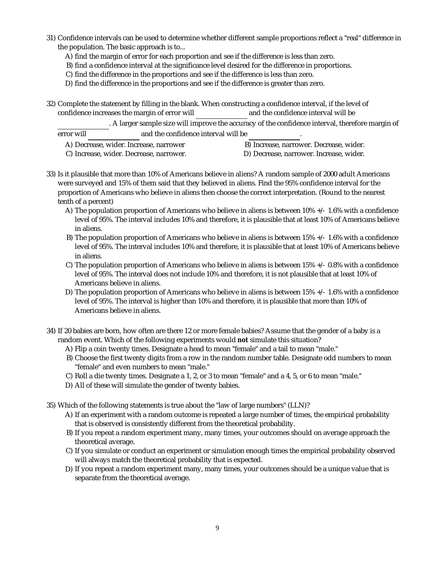- 31) Confidence intervals can be used to determine whether different sample proportions reflect a "real" difference in the population. The basic approach is to...
	- A) find the margin of error for each proportion and see if the difference is less than zero.
	- B) find a confidence interval at the significance level desired for the difference in proportions.
	- C) find the difference in the proportions and see if the difference is less than zero.
	- D) find the difference in the proportions and see if the difference is greater than zero.
- 32) Complete the statement by filling in the blank. When constructing a confidence interval, if the level of confidence increases the margin of error will and the confidence interval will be

. A larger sample size will improve the accuracy of the confidence interval, therefore margin of error will and the confidence interval will be

- A) Decrease, wider. Increase, narrower B) Increase, narrower. Decrease, wider. C) Increase, wider. Decrease, narrower. D) Decrease, narrower. Increase, wider.
	-
- 33) Is it plausible that more than 10% of Americans believe in aliens? A random sample of 2000 adult Americans were surveyed and 15% of them said that they believed in aliens. Find the 95% confidence interval for the proportion of Americans who believe in aliens then choose the correct interpretation. (Round to the nearest tenth of a percent)
	- A) The population proportion of Americans who believe in aliens is between 10% +/- 1.6% with a confidence level of 95%. The interval includes 10% and therefore, it is plausible that at least 10% of Americans believe in aliens.
	- B) The population proportion of Americans who believe in aliens is between 15% +/- 1.6% with a confidence level of 95%. The interval includes 10% and therefore, it is plausible that at least 10% of Americans believe in aliens.
	- C) The population proportion of Americans who believe in aliens is between 15% +/- 0.8% with a confidence level of 95%. The interval does not include 10% and therefore, it is not plausible that at least 10% of Americans believe in aliens.
	- D) The population proportion of Americans who believe in aliens is between 15% +/- 1.6% with a confidence level of 95%. The interval is higher than 10% and therefore, it is plausible that more than 10% of Americans believe in aliens.

34) If 20 babies are born, how often are there 12 or more female babies? Assume that the gender of a baby is a random event. Which of the following experiments would **not** simulate this situation?

- A) Flip a coin twenty times. Designate a head to mean "female" and a tail to mean "male."
- B) Choose the first twenty digits from a row in the random number table. Designate odd numbers to mean "female" and even numbers to mean "male."
- C) Roll a die twenty times. Designate a 1, 2, or 3 to mean "female" and a 4, 5, or 6 to mean "male."
- D) All of these will simulate the gender of twenty babies.

35) Which of the following statements is true about the "law of large numbers" (LLN)?

- A) If an experiment with a random outcome is repeated a large number of times, the empirical probability that is observed is consistently different from the theoretical probability.
- B) If you repeat a random experiment many, many times, your outcomes should on average approach the theoretical average.
- C) If you simulate or conduct an experiment or simulation enough times the empirical probability observed will always match the theoretical probability that is expected.
- D) If you repeat a random experiment many, many times, your outcomes should be a unique value that is separate from the theoretical average.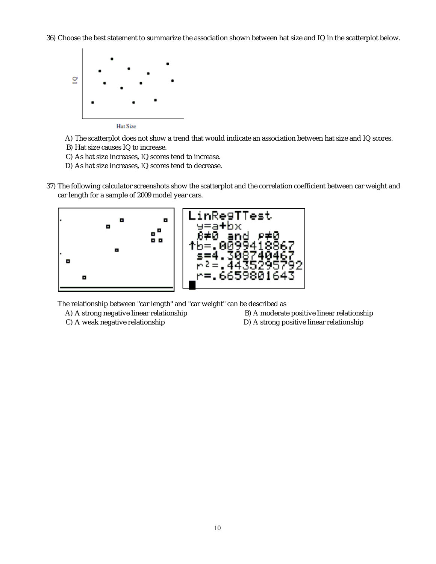36) Choose the best statement to summarize the association shown between hat size and IQ in the scatterplot below.



A) The scatterplot does not show a trend that would indicate an association between hat size and IQ scores.

- B) Hat size causes IQ to increase.
- C) As hat size increases, IQ scores tend to increase.
- D) As hat size increases, IQ scores tend to decrease.
- 37) The following calculator screenshots show the scatterplot and the correlation coefficient between car weight and car length for a sample of 2009 model year cars.



The relationship between "car length" and "car weight" can be described as

A) A strong negative linear relationship B) A moderate positive linear relationship

C) A weak negative relationship D) A strong positive linear relationship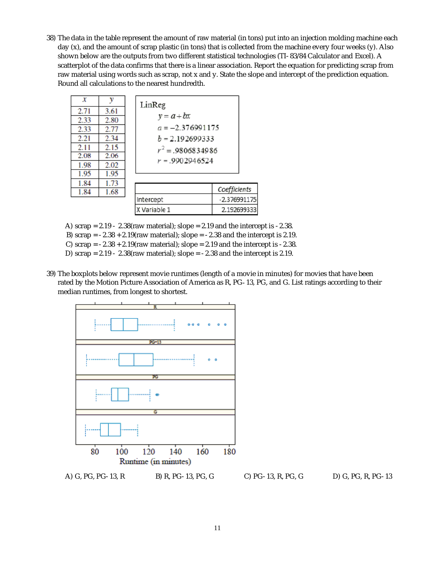38) The data in the table represent the amount of raw material (in tons) put into an injection molding machine each day (*x*), and the amount of scrap plastic (in tons) that is collected from the machine every four weeks (*y*). Also shown below are the outputs from two different statistical technologies (TI-83/84 Calculator and Excel). A scatterplot of the data confirms that there is a linear association. Report the equation for predicting scrap from raw material using words such as scrap, not *x* and *y*. State the slope and intercept of the prediction equation. Round all calculations to the nearest hundredth.

| x    | y    | LinReg              |                |
|------|------|---------------------|----------------|
| 2.71 | 3.61 |                     |                |
| 2.33 | 2.80 | $y = a + bx$        |                |
| 2.33 | 2.77 | $a = -2.376991175$  |                |
| 2.21 | 2.34 | $b = 2.192699333$   |                |
| 2.11 | 2.15 | $r^2 = .9806834986$ |                |
| 2.08 | 2.06 | $r = .9902946524$   |                |
| 1.98 | 2.02 |                     |                |
| 1.95 | 1.95 |                     |                |
| 1.84 | 1.73 |                     |                |
| 1.84 | 1.68 |                     | Coefficients   |
|      |      | Intercept           | $-2.376991175$ |
|      |      | X Variable 1        | 2.192699333    |

A) scrap =  $2.19 - 2.38$ (raw material); slope =  $2.19$  and the intercept is -2.38.

- B) scrap =  $-2.38 + 2.19$ (raw material); slope =  $-2.38$  and the intercept is 2.19.
- C) scrap =  $-2.38 + 2.19$ (raw material); slope = 2.19 and the intercept is  $-2.38$ .
- D) scrap =  $2.19 2.38$ (raw material); slope =  $-2.38$  and the intercept is 2.19.
- 39) The boxplots below represent movie runtimes (length of a movie in minutes) for movies that have been rated by the Motion Picture Association of America as R, PG-13, PG, and G. List ratings according to their median runtimes, from longest to shortest.

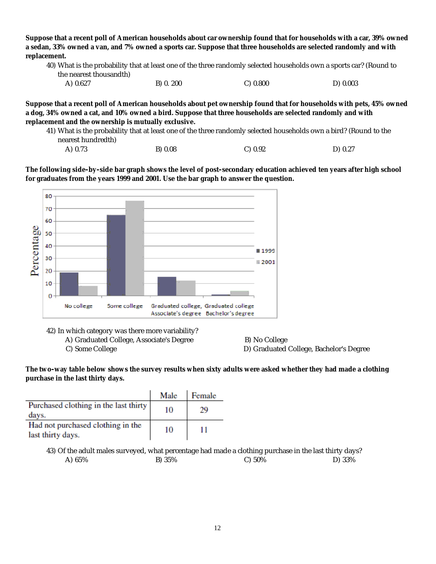**Suppose that a recent poll of American households about car ownership found that for households with a car, 39% owned a sedan, 33% owned a van, and 7% owned a sports car. Suppose that three households are selected randomly and with replacement.**

| A) 0.627 | B) 0. 200 | C) 0.800 | D) 0.003 |
|----------|-----------|----------|----------|
|----------|-----------|----------|----------|

**Suppose that a recent poll of American households about pet ownership found that for households with pets, 45% owned a dog, 34% owned a cat, and 10% owned a bird. Suppose that three households are selected randomly and with replacement and the ownership is mutually exclusive.**

41) What is the probability that at least one of the three randomly selected households own a bird? (Round to the nearest hundredth)

| A) 0.73 | B) 0.08 | C) 0.92 | D) 0.27 |
|---------|---------|---------|---------|
|---------|---------|---------|---------|

**The following side-by-side bar graph shows the level of post-secondary education achieved ten years after high school for graduates from the years 1999 and 2001. Use the bar graph to answer the question.**



42) In which category was there more variability?

A) Graduated College, Associate's Degree B) No College

C) Some College D) Graduated College, Bachelor's Degree

**The two-way table below shows the survey results when sixty adults were asked whether they had made a clothing purchase in the last thirty days.**

|                                                        | Male | Female |
|--------------------------------------------------------|------|--------|
| Purchased clothing in the last thirty<br>days.         | 10   |        |
| Had not purchased clothing in the<br>last thirty days. | 10   |        |

43) Of the adult males surveyed, what percentage had made a clothing purchase in the last thirty days? A) 65% B) 35% C) 50% D) 33%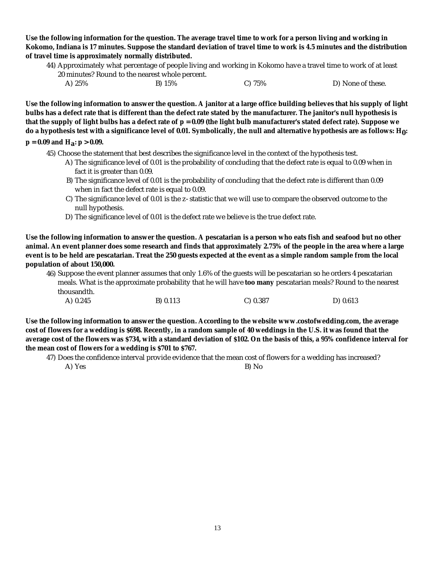**Use the following information for the question. The average travel time to work for a person living and working in Kokomo, Indiana is 17 minutes. Suppose the standard deviation of travel time to work is 4.5 minutes and the distribution of travel time is approximately normally distributed.**

44) Approximately what percentage of people living and working in Kokomo have a travel time to work of at least 20 minutes? Round to the nearest whole percent.

| A) 25% | B) 15% | $C)$ 75% | D) None of these. |
|--------|--------|----------|-------------------|

**Use the following information to answer the question. A janitor at a large office building believes that his supply of light bulbs has a defect rate that is different than the defect rate stated by the manufacturer. The janitor's null hypothesis is that the supply of light bulbs has a defect rate of p = 0.09 (the light bulb manufacturer's stated defect rate). Suppose we do a hypothesis test with a significance level of 0.01. Symbolically, the null and alternative hypothesis are as follows: H0:**

 $p = 0.09$  and  $H_a$ :  $p > 0.09$ .

45) Choose the statement that best describes the significance level in the context of the hypothesis test.

- A) The significance level of 0.01 is the probability of concluding that the defect rate is equal to 0.09 when in fact it is greater than 0.09.
- B) The significance level of 0.01 is the probability of concluding that the defect rate is different than 0.09 when in fact the defect rate is equal to 0.09.
- C) The significance level of 0.01 is the z-statistic that we will use to compare the observed outcome to the null hypothesis.
- D) The significance level of 0.01 is the defect rate we believe is the true defect rate.

**Use the following information to answer the question. A pescatarian is a person who eats fish and seafood but no other animal. An event planner does some research and finds that approximately 2.75% of the people in the area where a large event is to be held are pescatarian. Treat the 250 guests expected at the event as a simple random sample from the local population of about 150,000.**

46) Suppose the event planner assumes that only 1.6% of the guests will be pescatarian so he orders 4 pescatarian meals. What is the approximate probability that he will have **too many** pescatarian meals? Round to the nearest thousandth. A) 0.245 B) 0.113 C) 0.387 D) 0.613

**Use the following information to answer the question. According to the website www.costofwedding.com, the average cost of flowers for a wedding is \$698. Recently, in a random sample of 40 weddings in the U.S. it was found that the average cost of the flowers was \$734, with a standard deviation of \$102. On the basis of this, a 95% confidence interval for the mean cost of flowers for a wedding is \$701 to \$767.**

47) Does the confidence interval provide evidence that the mean cost of flowers for a wedding has increased?

A) Yes B) No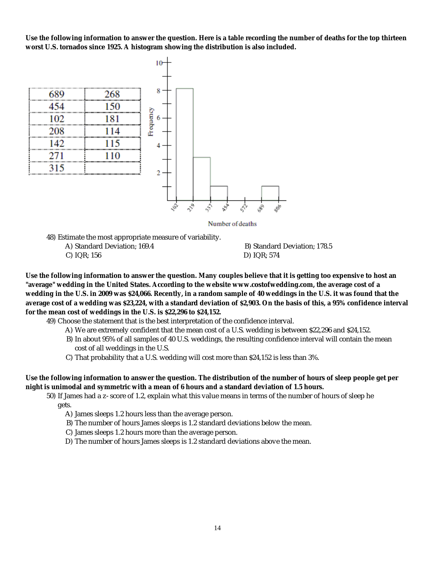**Use the following information to answer the question. Here is a table recording the number of deaths for the top thirteen worst U.S. tornados since 1925. A histogram showing the distribution is also included.**



Number of deaths

48) Estimate the most appropriate measure of variability.

- 
- C) IQR; 156 D) IQR; 574

A) Standard Deviation; 169.4 B) Standard Deviation; 178.5

**Use the following information to answer the question. Many couples believe that it is getting too expensive to host an "average" wedding in the United States. According to the website www.costofwedding.com, the average cost of a wedding in the U.S. in 2009 was \$24,066. Recently, in a random sample of 40 weddings in the U.S. it was found that the average cost of a wedding was \$23,224, with a standard deviation of \$2,903. On the basis of this, a 95% confidence interval for the mean cost of weddings in the U.S. is \$22,296 to \$24,152.**

49) Choose the statement that is the best interpretation of the confidence interval.

- A) We are extremely confident that the mean cost of a U.S. wedding is between \$22,296 and \$24,152.
- B) In about 95% of all samples of 40 U.S. weddings, the resulting confidence interval will contain the mean cost of all weddings in the U.S.
- C) That probability that a U.S. wedding will cost more than \$24,152 is less than 3%.

**Use the following information to answer the question. The distribution of the number of hours of sleep people get per night is unimodal and symmetric with a mean of 6 hours and a standard deviation of 1.5 hours.**

50) If James had a z-score of 1.2, explain what this value means in terms of the number of hours of sleep he gets.

- A) James sleeps 1.2 hours less than the average person.
- B) The number of hours James sleeps is 1.2 standard deviations below the mean.
- C) James sleeps 1.2 hours more than the average person.
- D) The number of hours James sleeps is 1.2 standard deviations above the mean.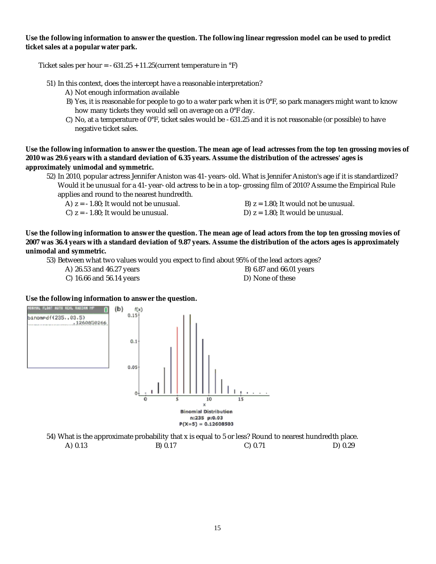**Use the following information to answer the question. The following linear regression model can be used to predict ticket sales at a popular water park.**

Ticket sales per hour =  $-631.25 + 11.25$  (current temperature in  $\degree$ F)

51) In this context, does the intercept have a reasonable interpretation?

- A) Not enough information available
- B) Yes, it is reasonable for people to go to a water park when it is 0°F, so park managers might want to know how many tickets they would sell on average on a 0°F day.
- C) No, at a temperature of 0°F, ticket sales would be -631.25 and it is not reasonable (or possible) to have negative ticket sales.

**Use the following information to answer the question. The mean age of lead actresses from the top ten grossing movies of 2010 was 29.6 years with a standard deviation of 6.35 years. Assume the distribution of the actresses' ages is approximately unimodal and symmetric.**

- 52) In 2010, popular actress Jennifer Aniston was 41-years-old. What is Jennifer Aniston's age if it is standardized? Would it be unusual for a 41-year-old actress to be in a top-grossing film of 2010? Assume the Empirical Rule applies and round to the nearest hundredth.
	- A)  $z = -1.80$ ; It would not be unusual. B)  $z = 1.80$ ; It would not be unusual.
	- C)  $z = -1.80$ ; It would be unusual. D)  $z = 1.80$ ; It would be unusual.
- -

**Use the following information to answer the question. The mean age of lead actors from the top ten grossing movies of 2007 was 36.4 years with a standard deviation of 9.87 years. Assume the distribution of the actors ages is approximately unimodal and symmetric.**

53) Between what two values would you expect to find about 95% of the lead actors ages?

- A) 26.53 and 46.27 years B) 6.87 and 66.01 years
	-
- C) 16.66 and 56.14 years D) None of these
- 

**Use the following information to answer the question.**



54) What is the approximate probability that x is equal to 5 or less? Round to nearest hundredth place. A) 0.13 B) 0.17 C) 0.71 D) 0.29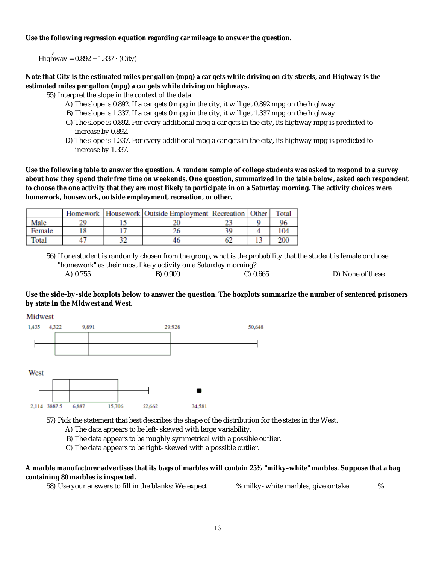**Use the following regression equation regarding car mileage to answer the question.**

^ Highway = 0.892 + 1.337 · (City)

**Note that City is the estimated miles per gallon (mpg) a car gets while driving on city streets, and Highway is the estimated miles per gallon (mpg) a car gets while driving on highways.**

55) Interpret the slope in the context of the data.

- A) The slope is 0.892. If a car gets 0 mpg in the city, it will get 0.892 mpg on the highway.
- B) The slope is 1.337. If a car gets 0 mpg in the city, it will get 1.337 mpg on the highway.
- C) The slope is 0.892. For every additional mpg a car gets in the city, its highway mpg is predicted to increase by 0.892.
- D) The slope is 1.337. For every additional mpg a car gets in the city, its highway mpg is predicted to increase by 1.337.

**Use the following table to answer the question. A random sample of college students was asked to respond to a survey about how they spend their free time on weekends. One question, summarized in the table below, asked each respondent to choose the one activity that they are most likely to participate in on a Saturday morning. The activity choices were homework, housework, outside employment, recreation, or other.**

|        |  | Homework   Housework   Outside Employment   Recreation   Other |    | Total |
|--------|--|----------------------------------------------------------------|----|-------|
| Male   |  |                                                                |    |       |
| Female |  |                                                                | 30 | 104   |
| Total  |  |                                                                |    | 200   |

56) If one student is randomly chosen from the group, what is the probability that the student is female or chose "homework" as their most likely activity on a Saturday morning? A) 0.755 B) 0.900 C) 0.665 D) None of these

**Use the side-by-side boxplots below to answer the question. The boxplots summarize the number of sentenced prisoners by state in the Midwest and West.**

Midwest



57) Pick the statement that best describes the shape of the distribution for the states in the West.

A) The data appears to be left-skewed with large variability.

B) The data appears to be roughly symmetrical with a possible outlier.

C) The data appears to be right-skewed with a possible outlier.

**A marble manufacturer advertises that its bags of marbles will contain 25% "milky-white" marbles. Suppose that a bag containing 80 marbles is inspected.**

58) Use your answers to fill in the blanks: We expect \_\_\_\_\_\_% milky-white marbles, give or take \_\_\_\_\_\_\_%.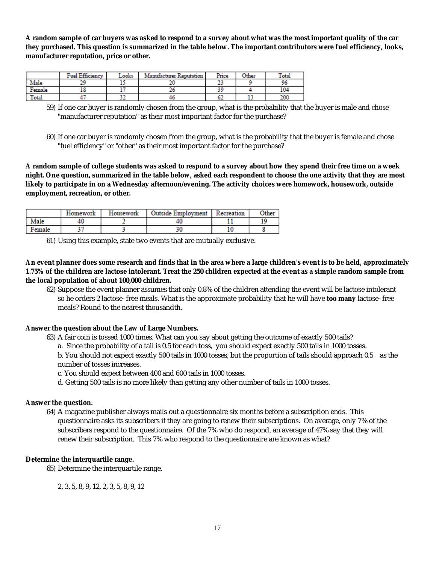**A random sample of car buyers was asked to respond to a survey about what was the most important quality of the car they purchased. This question is summarized in the table below. The important contributors were fuel efficiency, looks, manufacturer reputation, price or other.**

|         | Fuel Efficiency | ∟ooks | Manufacturer Reputation | Price | Other | Total |
|---------|-----------------|-------|-------------------------|-------|-------|-------|
| Male    |                 | --    |                         | --    |       | 96    |
| :'emale |                 |       |                         | 20    |       | 104   |
| Total   |                 | --    |                         | OZ.   | --    | 200   |

59) If one car buyer is randomly chosen from the group, what is the probability that the buyer is male and chose "manufacturer reputation" as their most important factor for the purchase?

60) If one car buyer is randomly chosen from the group, what is the probability that the buyer is female and chose "fuel efficiency" or "other" as their most important factor for the purchase?

**A random sample of college students was asked to respond to a survey about how they spend their free time on a week night. One question, summarized in the table below, asked each respondent to choose the one activity that they are most likely to participate in on a Wednesday afternoon/evening. The activity choices were homework, housework, outside employment, recreation, or other.**

|        | Homework | Housework | <b>Outside Employment</b> | Recreation | Other |
|--------|----------|-----------|---------------------------|------------|-------|
| Male   | 40       |           |                           |            |       |
| Female |          |           |                           | 10         |       |

61) Using this example, state two events that are mutually exclusive.

**An event planner does some research and finds that in the area where a large children's event is to be held, approximately 1.75% of the children are lactose intolerant. Treat the 250 children expected at the event as a simple random sample from the local population of about 100,000 children.**

62) Suppose the event planner assumes that only 0.8% of the children attending the event will be lactose intolerant so he orders 2 lactose-free meals. What is the approximate probability that he will have **too many** lactose-free meals? Round to the nearest thousandth.

**Answer the question about the Law of Large Numbers.**

- 63) A fair coin is tossed 1000 times. What can you say about getting the outcome of exactly 500 tails?
	- a. Since the probability of a tail is 0.5 for each toss, you should expect exactly 500 tails in 1000 tosses.

b. You should not expect exactly 500 tails in 1000 tosses, but the proportion of tails should approach 0.5 as the number of tosses increases.

c. You should expect between 400 and 600 tails in 1000 tosses.

d. Getting 500 tails is no more likely than getting any other number of tails in 1000 tosses.

**Answer the question.**

64) A magazine publisher always mails out a questionnaire six months before a subscription ends. This questionnaire asks its subscribers if they are going to renew their subscriptions. On average, only 7% of the subscribers respond to the questionnaire. Of the 7% who do respond, an average of 47% say that they will renew their subscription. This 7% who respond to the questionnaire are known as what?

**Determine the interquartile range.**

65) Determine the interquartile range.

2, 3, 5, 8, 9, 12, 2, 3, 5, 8, 9, 12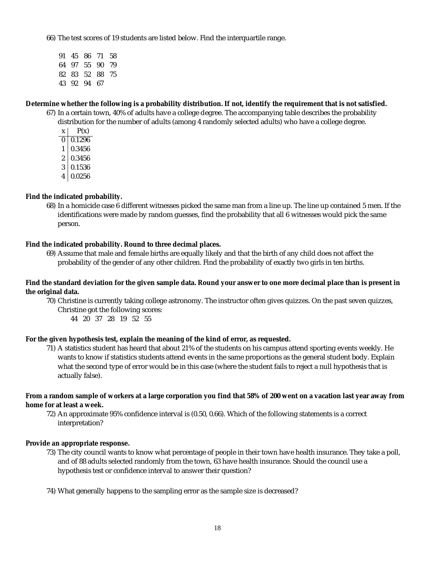66) The test scores of 19 students are listed below. Find the interquartile range.

91 45 86 71 58 64 97 55 90 79 82 83 52 88 75 43 92 94 67

**Determine whether the following is a probability distribution. If not, identify the requirement that is not satisfied.**

- 67) In a certain town, 40% of adults have a college degree. The accompanying table describes the probability distribution for the number of adults (among 4 randomly selected adults) who have a college degree.
	- $x \mid P(x)$
	- 0 0.1296
	- 1 0.3456
	- 2 0.3456
	- $3 | 0.1536$
	- 4 0.0256

**Find the indicated probability.**

68) In a homicide case 6 different witnesses picked the same man from a line up. The line up contained 5 men. If the identifications were made by random guesses, find the probability that all 6 witnesses would pick the same person.

**Find the indicated probability. Round to three decimal places.**

69) Assume that male and female births are equally likely and that the birth of any child does not affect the probability of the gender of any other children. Find the probability of exactly two girls in ten births.

**Find the standard deviation for the given sample data. Round your answer to one more decimal place than is present in the original data.**

70) Christine is currently taking college astronomy. The instructor often gives quizzes. On the past seven quizzes, Christine got the following scores:

44 20 37 28 19 52 55

**For the given hypothesis test, explain the meaning of the kind of error, as requested.**

71) A statistics student has heard that about 21% of the students on his campus attend sporting events weekly. He wants to know if statistics students attend events in the same proportions as the general student body. Explain what the second type of error would be in this case (where the student fails to reject a null hypothesis that is actually false).

**From a random sample of workers at a large corporation you find that 58% of 200 went on a vacation last year away from home for at least a week.**

72) An approximate 95% confidence interval is (0.50, 0.66). Which of the following statements is a correct interpretation?

**Provide an appropriate response.**

73) The city council wants to know what percentage of people in their town have health insurance. They take a poll, and of 88 adults selected randomly from the town, 63 have health insurance. Should the council use a hypothesis test or confidence interval to answer their question?

74) What generally happens to the sampling error as the sample size is decreased?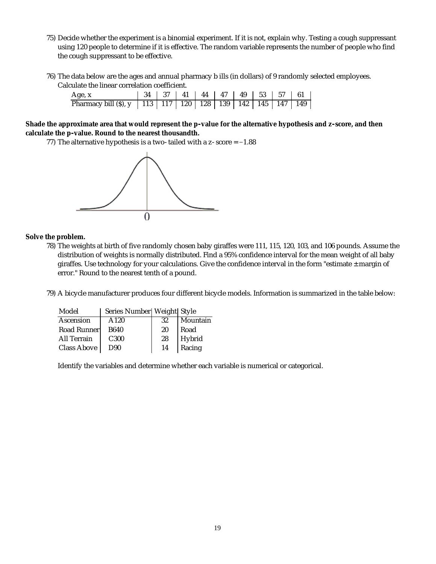- 75) Decide whether the experiment is a binomial experiment. If it is not, explain why. Testing a cough suppressant using 120 people to determine if it is effective. The random variable represents the number of people who find the cough suppressant to be effective.
- 76) The data below are the ages and annual pharmacy b ills (in dollars) of 9 randomly selected employees. Calculate the linear correlation coefficient.

| Age, x                                                                      | 34   37   41   44   47   49   53   57   61 |  |  |  |  |
|-----------------------------------------------------------------------------|--------------------------------------------|--|--|--|--|
| Pharmacy bill (\$), y   113   117   120   128   139   142   145   147   149 |                                            |  |  |  |  |

**Shade the approximate area that would represent the p-value for the alternative hypothesis and z-score, and then calculate the p-value. Round to the nearest thousandth.**

77) The alternative hypothesis is a two-tailed with a z-score = –1.88



**Solve the problem.**

- 78) The weights at birth of five randomly chosen baby giraffes were 111, 115, 120, 103, and 106 pounds. Assume the distribution of weights is normally distributed. Find a 95% confidence interval for the mean weight of all baby giraffes. Use technology for your calculations. Give the confidence interval in the form "estimate  $\pm$  margin of error." Round to the nearest tenth of a pound.
- 79) A bicycle manufacturer produces four different bicycle models. Information is summarized in the table below:

| Model       | Series Number  Weight  Style |     |          |
|-------------|------------------------------|-----|----------|
| Ascension   | A120                         | -32 | Mountain |
| Road Runner | B640                         | 20  | Road     |
| All Terrain | C <sub>300</sub>             | 28  | Hybrid   |
| Class Above | D <sub>90</sub>              | 14  | Racing   |

Identify the variables and determine whether each variable is numerical or categorical.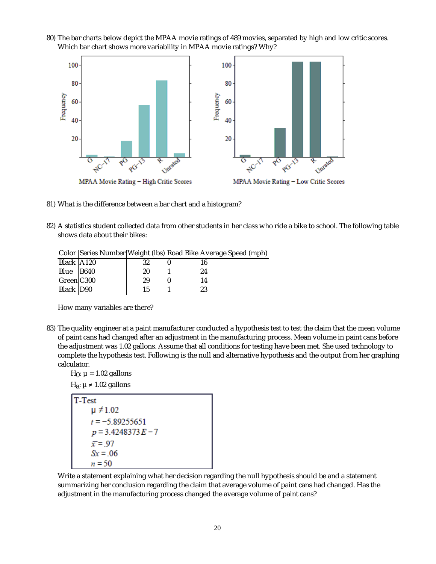80) The bar charts below depict the MPAA movie ratings of 489 movies, separated by high and low critic scores. Which bar chart shows more variability in MPAA movie ratings? Why?



- 81) What is the difference between a bar chart and a histogram?
- 82) A statistics student collected data from other students in her class who ride a bike to school. The following table shows data about their bikes:

|                |    | Color Series Number   Weight (Ibs)   Road Bike   Average Speed (mph) |
|----------------|----|----------------------------------------------------------------------|
| Black A120     | 32 | 16                                                                   |
| Blue $ B640$   | 20 | 24                                                                   |
| $Green$ $C300$ | 29 | 14                                                                   |
| Black D90      | 15 | 23                                                                   |

How many variables are there?

83) The quality engineer at a paint manufacturer conducted a hypothesis test to test the claim that the mean volume of paint cans had changed after an adjustment in the manufacturing process. Mean volume in paint cans before the adjustment was 1.02 gallons. Assume that all conditions for testing have been met. She used technology to complete the hypothesis test. Following is the null and alternative hypothesis and the output from her graphing calculator.

 $H_0$ :  $\mu$  = 1.02 gallons

 $H_{\overline{a}}$ : µ ≠ 1.02 gallons



Write a statement explaining what her decision regarding the null hypothesis should be and a statement summarizing her conclusion regarding the claim that average volume of paint cans had changed. Has the adjustment in the manufacturing process changed the average volume of paint cans?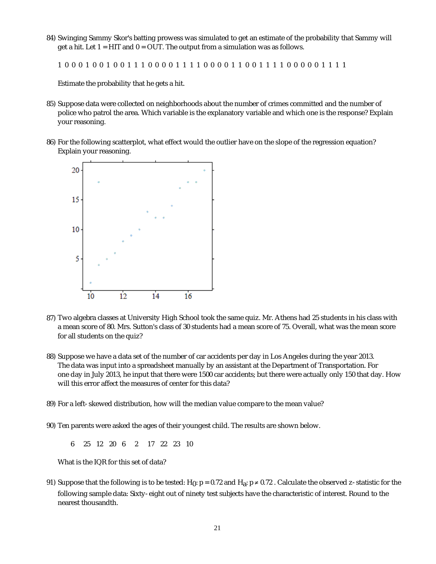84) Swinging Sammy Skor's batting prowess was simulated to get an estimate of the probability that Sammy will get a hit. Let  $1 = HIT$  and  $0 = OUT$ . The output from a simulation was as follows.

1 0 0 0 1 0 0 1 0 0 1 1 1 0 0 0 0 1 1 1 1 0 0 0 0 1 1 0 0 1 1 1 1 0 0 0 0 0 1 1 1 1

Estimate the probability that he gets a hit.

- 85) Suppose data were collected on neighborhoods about the number of crimes committed and the number of police who patrol the area. Which variable is the explanatory variable and which one is the response? Explain your reasoning.
- 86) For the following scatterplot, what effect would the outlier have on the slope of the regression equation? Explain your reasoning.



- 87) Two algebra classes at University High School took the same quiz. Mr. Athens had 25 students in his class with a mean score of 80. Mrs. Sutton's class of 30 students had a mean score of 75. Overall, what was the mean score for all students on the quiz?
- 88) Suppose we have a data set of the number of car accidents per day in Los Angeles during the year 2013. The data was input into a spreadsheet manually by an assistant at the Department of Transportation. For one day in July 2013, he input that there were 1500 car accidents; but there were actually only 150 that day. How will this error affect the measures of center for this data?
- 89) For a left-skewed distribution, how will the median value compare to the mean value?
- 90) Ten parents were asked the ages of their youngest child. The results are shown below.

6 25 12 20 6 2 17 22 23 10

What is the IQR for this set of data?

91) Suppose that the following is to be tested: *H<sub>0</sub>: p =* 0.72 and *H<sub>a</sub>: p ≠* 0.72 . Calculate the observed z-statistic for the following sample data: Sixty-eight out of ninety test subjects have the characteristic of interest. Round to the nearest thousandth.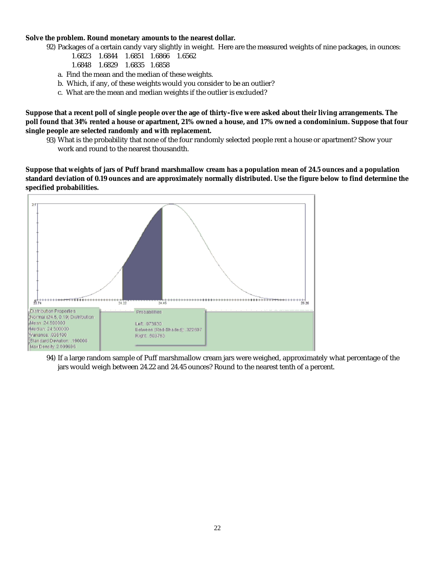**Solve the problem. Round monetary amounts to the nearest dollar.**

92) Packages of a certain candy vary slightly in weight. Here are the measured weights of nine packages, in ounces:

- 1.6823 1.6844 1.6851 1.6866 1.6562
- 1.6848 1.6829 1.6835 1.6858
- a. Find the mean and the median of these weights.
- b. Which, if any, of these weights would you consider to be an outlier?
- c. What are the mean and median weights if the outlier is excluded?

**Suppose that a recent poll of single people over the age of thirty-five were asked about their living arrangements. The poll found that 34% rented a house or apartment, 21% owned a house, and 17% owned a condominium. Suppose that four single people are selected randomly and with replacement.**

93) What is the probability that none of the four randomly selected people rent a house or apartment? Show your work and round to the nearest thousandth.

**Suppose that weights of jars of Puff brand marshmallow cream has a population mean of 24.5 ounces and a population standard deviation of 0.19 ounces and are approximately normally distributed. Use the figure below to find determine the specified probabilities.**



94) If a large random sample of Puff marshmallow cream jars were weighed, approximately what percentage of the jars would weigh between 24.22 and 24.45 ounces? Round to the nearest tenth of a percent.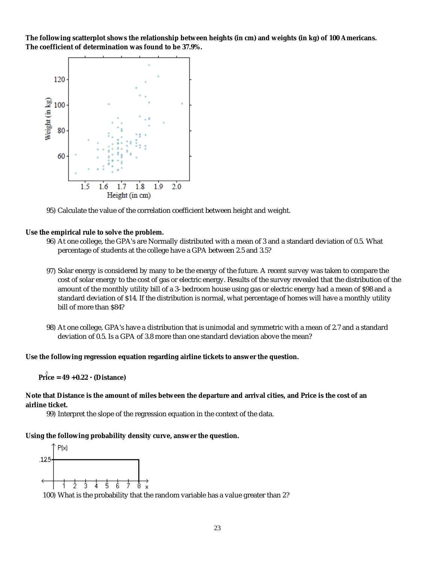**The following scatterplot shows the relationship between heights (in cm) and weights (in kg) of 100 Americans. The coefficient of determination was found to be 37.9%.**



95) Calculate the value of the correlation coefficient between height and weight.

**Use the empirical rule to solve the problem.**

- 96) At one college, the GPA's are Normally distributed with a mean of 3 and a standard deviation of 0.5. What percentage of students at the college have a GPA between 2.5 and 3.5?
- 97) Solar energy is considered by many to be the energy of the future. A recent survey was taken to compare the cost of solar energy to the cost of gas or electric energy. Results of the survey revealed that the distribution of the amount of the monthly utility bill of a 3-bedroom house using gas or electric energy had a mean of \$98 and a standard deviation of \$14. If the distribution is normal, what percentage of homes will have a monthly utility bill of more than \$84?
- 98) At one college, GPA's have a distribution that is unimodal and symmetric with a mean of 2.7 and a standard deviation of 0.5. Is a GPA of 3.8 more than one standard deviation above the mean?

**Use the following regression equation regarding airline tickets to answer the question.**

^ **Price = 49 + 0.22 · (Distance)**

**Note that Distance is the amount of miles between the departure and arrival cities, and Price is the cost of an airline ticket.**

99) Interpret the slope of the regression equation in the context of the data.

**Using the following probability density curve, answer the question.**



100) What is the probability that the random variable has a value greater than 2?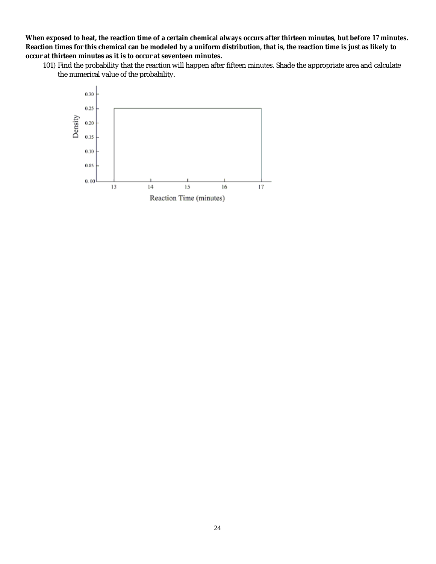**When exposed to heat, the reaction time of a certain chemical always occurs after thirteen minutes, but before 17 minutes. Reaction times for this chemical can be modeled by a uniform distribution, that is, the reaction time is just as likely to occur at thirteen minutes as it is to occur at seventeen minutes.**

101) Find the probability that the reaction will happen after fifteen minutes. Shade the appropriate area and calculate the numerical value of the probability.

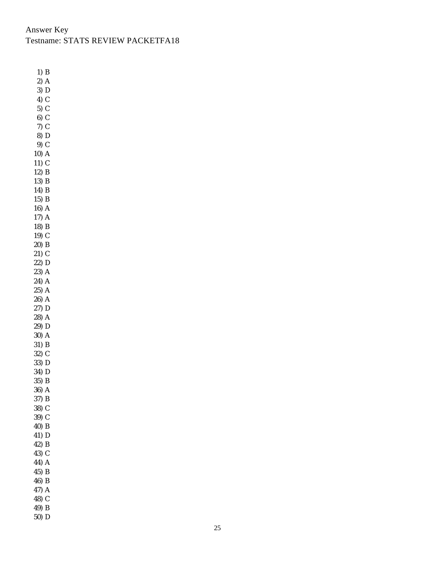# Answer Key Testname: STATS REVIEW PACKETFA18

1) B  $2)$  A  $3)$  D 4) C 5) C 6) C 7) C 8) D 9) C 10) A  $11)$  C 12) B 13) B 14) B 15) B 16) A 17) A 18) B 19) C 20) B 21) C 22) D 23) A 24) A 25) A 26) A 27) D 28) A 29) D 30) A 31) B 32) C 33) D 34) D 35) B 36) A 37) B 38) C 39) C 40) B 41) D 42) B 43) C 44) A 45) B 46) B 47) A 48) C 49) B 50) D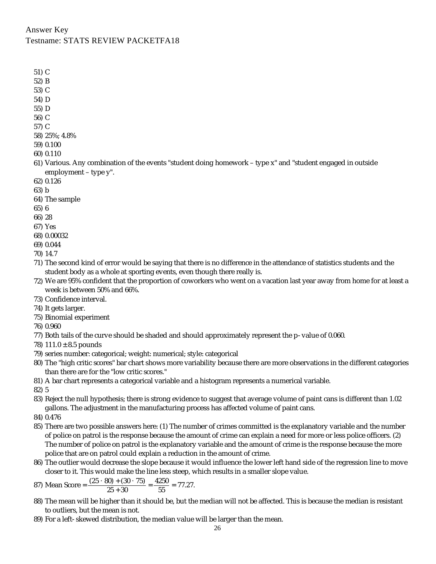## Answer Key Testname: STATS REVIEW PACKETFA18

51) C

- 52) B
- 53) C
- 54) D
- 55) D
- 56) C
- 57) C
- 58) 25%; 4.8%
- 59) 0.100
- 60) 0.110
- 61) Various. Any combination of the events "student doing homework type *x*" and "student engaged in outside employment – type *y*".
- 62) 0.126
- 63) b
- 64) The sample
- 65) 6
- 66) 28
- 67) Yes
- 68) 0.00032
- 69) 0.044
- 70) 14.7
- 71) The second kind of error would be saying that there is no difference in the attendance of statistics students and the student body as a whole at sporting events, even though there really is.
- 72) We are 95% confident that the proportion of coworkers who went on a vacation last year away from home for at least a week is between 50% and 66%.
- 73) Confidence interval.
- 74) It gets larger.
- 75) Binomial experiment
- 76) 0.960
- 77) Both tails of the curve should be shaded and should approximately represent the p-value of 0.060.
- 78) 111.0  $\pm$  8.5 pounds
- 79) series number: categorical; weight: numerical; style: categorical
- 80) The "high critic scores" bar chart shows more variability because there are more observations in the different categories than there are for the "low critic scores."
- 81) A bar chart represents a categorical variable and a histogram represents a numerical variable.

82) 5

- 83) Reject the null hypothesis; there is strong evidence to suggest that average volume of paint cans is different than 1.02 gallons. The adjustment in the manufacturing process has affected volume of paint cans.
- 84) 0.476
- 85) There are two possible answers here: (1) The number of crimes committed is the explanatory variable and the number of police on patrol is the response because the amount of crime can explain a need for more or less police officers. (2) The number of police on patrol is the explanatory variable and the amount of crime is the response because the more police that are on patrol could explain a reduction in the amount of crime.
- 86) The outlier would decrease the slope because it would influence the lower left hand side of the regression line to move closer to it. This would make the line less steep, which results in a smaller slope value.
- 87) Mean Score =  $\frac{(25 \cdot 80) + (30 \cdot 75)}{25 + 30} = \frac{4250}{55} = 77.27$ .
- 88) The mean will be higher than it should be, but the median will not be affected. This is because the median is resistant to outliers, but the mean is not.
- 89) For a left-skewed distribution, the median value will be larger than the mean.